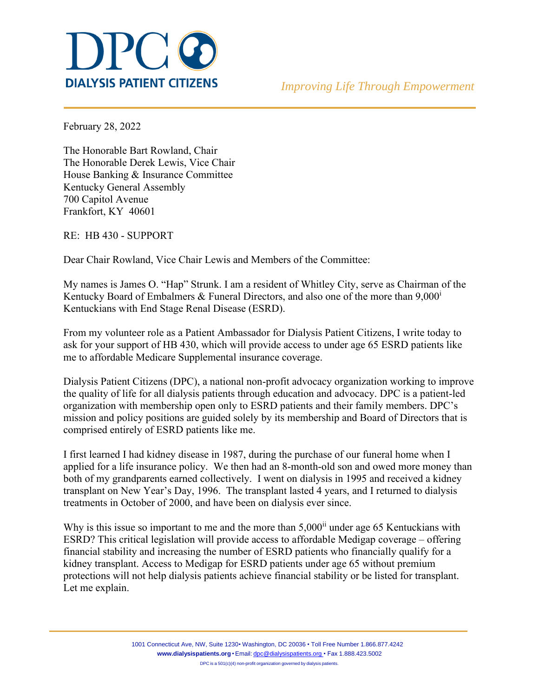

February 28, 2022

The Honorable Bart Rowland, Chair The Honorable Derek Lewis, Vice Chair House Banking & Insurance Committee Kentucky General Assembly 700 Capitol Avenue Frankfort, KY 40601

RE: HB 430 - SUPPORT

Dear Chair Rowland, Vice Chair Lewis and Members of the Committee:

My names is James O. "Hap" Strunk. I am a resident of Whitley City, serve as Chairman of the Kentucky Board of Embalmers & Funeral Directors, and also one of the more than  $9,000<sup>i</sup>$ Kentuckians with End Stage Renal Disease (ESRD).

From my volunteer role as a Patient Ambassador for Dialysis Patient Citizens, I write today to ask for your support of HB 430, which will provide access to under age 65 ESRD patients like me to affordable Medicare Supplemental insurance coverage.

Dialysis Patient Citizens (DPC), a national non-profit advocacy organization working to improve the quality of life for all dialysis patients through education and advocacy. DPC is a patient-led organization with membership open only to ESRD patients and their family members. DPC's mission and policy positions are guided solely by its membership and Board of Directors that is comprised entirely of ESRD patients like me.

I first learned I had kidney disease in 1987, during the purchase of our funeral home when I applied for a life insurance policy. We then had an 8-month-old son and owed more money than both of my grandparents earned collectively. I went on dialysis in 1995 and received a kidney transplant on New Year's Day, 1996. The transplant lasted 4 years, and I returned to dialysis treatments in October of 2000, and have been on dialysis ever since.

Why is this issue so important to me and the more than  $5,000$ <sup>ii</sup> under age 65 Kentuckians with ESRD? This critical legislation will provide access to affordable Medigap coverage – offering financial stability and increasing the number of ESRD patients who financially qualify for a kidney transplant. Access to Medigap for ESRD patients under age 65 without premium protections will not help dialysis patients achieve financial stability or be listed for transplant. Let me explain.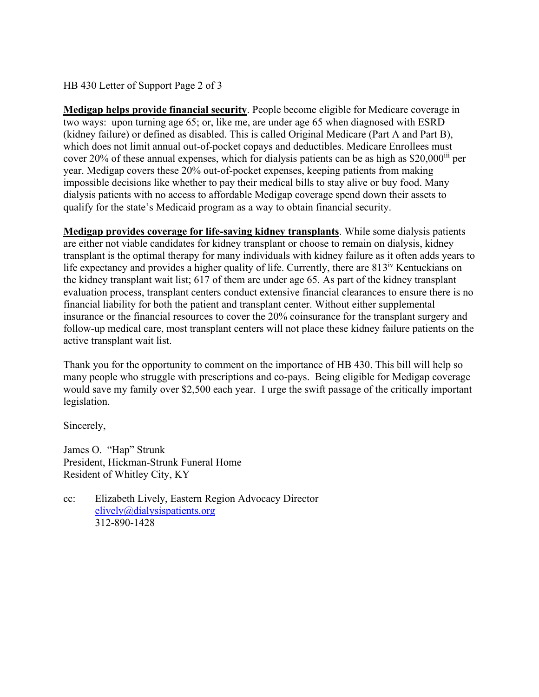HB 430 Letter of Support Page 2 of 3

**Medigap helps provide financial security**. People become eligible for Medicare coverage in two ways: upon turning age 65; or, like me, are under age 65 when diagnosed with ESRD (kidney failure) or defined as disabled. This is called Original Medicare (Part A and Part B), which does not limit annual out-of-pocket copays and deductibles. Medicare Enrollees must cover 20% of these annual expenses, which for dialysis patients can be as high as  $$20,000^{iii}$  per year. Medigap covers these 20% out-of-pocket expenses, keeping patients from making impossible decisions like whether to pay their medical bills to stay alive or buy food. Many dialysis patients with no access to affordable Medigap coverage spend down their assets to qualify for the state's Medicaid program as a way to obtain financial security.

**Medigap provides coverage for life-saving kidney transplants**. While some dialysis patients are either not viable candidates for kidney transplant or choose to remain on dialysis, kidney transplant is the optimal therapy for many individuals with kidney failure as it often adds years to life expectancy and provides a higher quality of life. Currently, there are  $813<sup>iv</sup>$  Kentuckians on the kidney transplant wait list; 617 of them are under age 65. As part of the kidney transplant evaluation process, transplant centers conduct extensive financial clearances to ensure there is no financial liability for both the patient and transplant center. Without either supplemental insurance or the financial resources to cover the 20% coinsurance for the transplant surgery and follow-up medical care, most transplant centers will not place these kidney failure patients on the active transplant wait list.

Thank you for the opportunity to comment on the importance of HB 430. This bill will help so many people who struggle with prescriptions and co-pays. Being eligible for Medigap coverage would save my family over \$2,500 each year. I urge the swift passage of the critically important legislation.

Sincerely,

James O. "Hap" Strunk President, Hickman-Strunk Funeral Home Resident of Whitley City, KY

cc: Elizabeth Lively, Eastern Region Advocacy Director [elively@dialysispatients.org](mailto:elively@dialysispatients.org) 312-890-1428